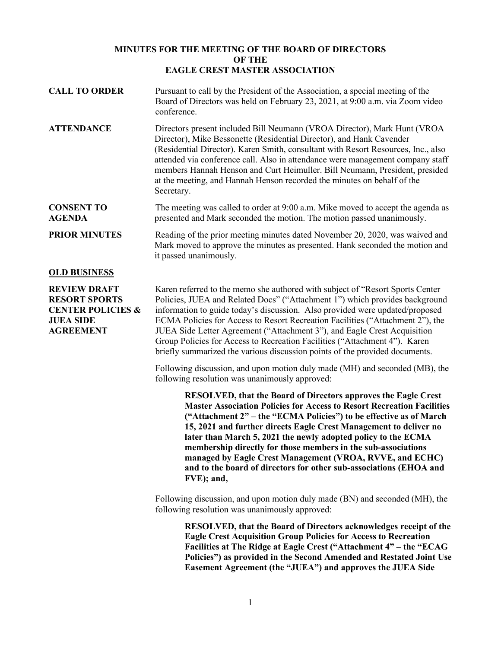## **MINUTES FOR THE MEETING OF THE BOARD OF DIRECTORS OF THE EAGLE CREST MASTER ASSOCIATION**

**CALL TO ORDER** Pursuant to call by the President of the Association, a special meeting of the Board of Directors was held on February 23, 2021, at 9:00 a.m. via Zoom video conference. **ATTENDANCE** Directors present included Bill Neumann (VROA Director), Mark Hunt (VROA Director), Mike Bessonette (Residential Director), and Hank Cavender (Residential Director). Karen Smith, consultant with Resort Resources, Inc., also attended via conference call. Also in attendance were management company staff members Hannah Henson and Curt Heimuller. Bill Neumann, President, presided at the meeting, and Hannah Henson recorded the minutes on behalf of the Secretary. **CONSENT TO AGENDA** The meeting was called to order at 9:00 a.m. Mike moved to accept the agenda as presented and Mark seconded the motion. The motion passed unanimously. **PRIOR MINUTES** Reading of the prior meeting minutes dated November 20, 2020, was waived and Mark moved to approve the minutes as presented. Hank seconded the motion and it passed unanimously. **OLD BUSINESS**

**REVIEW DRAFT RESORT SPORTS CENTER POLICIES & JUEA SIDE AGREEMENT**

Karen referred to the memo she authored with subject of "Resort Sports Center Policies, JUEA and Related Docs" ("Attachment 1") which provides background information to guide today's discussion. Also provided were updated/proposed ECMA Policies for Access to Resort Recreation Facilities ("Attachment 2"), the JUEA Side Letter Agreement ("Attachment 3"), and Eagle Crest Acquisition Group Policies for Access to Recreation Facilities ("Attachment 4"). Karen briefly summarized the various discussion points of the provided documents.

Following discussion, and upon motion duly made (MH) and seconded (MB), the following resolution was unanimously approved:

**RESOLVED, that the Board of Directors approves the Eagle Crest Master Association Policies for Access to Resort Recreation Facilities ("Attachment 2" – the "ECMA Policies") to be effective as of March 15, 2021 and further directs Eagle Crest Management to deliver no later than March 5, 2021 the newly adopted policy to the ECMA membership directly for those members in the sub-associations managed by Eagle Crest Management (VROA, RVVE, and ECHC) and to the board of directors for other sub-associations (EHOA and FVE); and,** 

Following discussion, and upon motion duly made (BN) and seconded (MH), the following resolution was unanimously approved:

**RESOLVED, that the Board of Directors acknowledges receipt of the Eagle Crest Acquisition Group Policies for Access to Recreation Facilities at The Ridge at Eagle Crest ("Attachment 4" – the "ECAG Policies") as provided in the Second Amended and Restated Joint Use Easement Agreement (the "JUEA") and approves the JUEA Side**